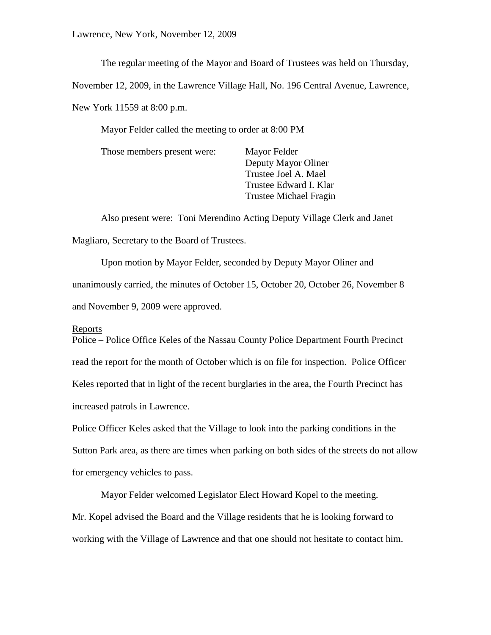Lawrence, New York, November 12, 2009

The regular meeting of the Mayor and Board of Trustees was held on Thursday,

November 12, 2009, in the Lawrence Village Hall, No. 196 Central Avenue, Lawrence,

New York 11559 at 8:00 p.m.

Mayor Felder called the meeting to order at 8:00 PM

Those members present were: Mayor Felder

Deputy Mayor Oliner Trustee Joel A. Mael Trustee Edward I. Klar Trustee Michael Fragin

Also present were: Toni Merendino Acting Deputy Village Clerk and Janet Magliaro, Secretary to the Board of Trustees.

Upon motion by Mayor Felder, seconded by Deputy Mayor Oliner and unanimously carried, the minutes of October 15, October 20, October 26, November 8 and November 9, 2009 were approved.

#### **Reports**

Police – Police Office Keles of the Nassau County Police Department Fourth Precinct read the report for the month of October which is on file for inspection. Police Officer Keles reported that in light of the recent burglaries in the area, the Fourth Precinct has increased patrols in Lawrence.

Police Officer Keles asked that the Village to look into the parking conditions in the Sutton Park area, as there are times when parking on both sides of the streets do not allow for emergency vehicles to pass.

Mayor Felder welcomed Legislator Elect Howard Kopel to the meeting. Mr. Kopel advised the Board and the Village residents that he is looking forward to working with the Village of Lawrence and that one should not hesitate to contact him.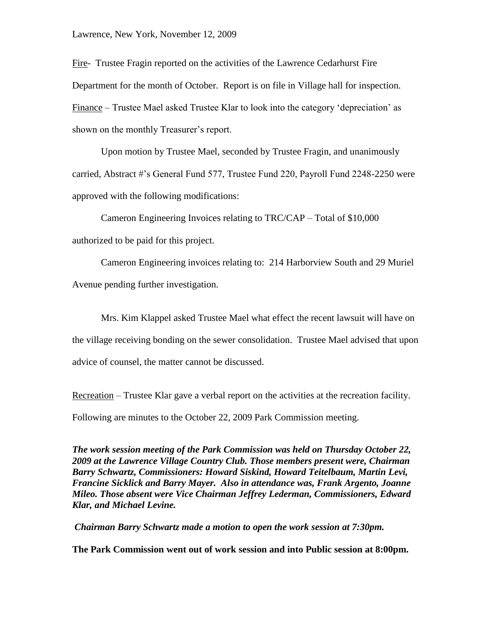Fire- Trustee Fragin reported on the activities of the Lawrence Cedarhurst Fire Department for the month of October. Report is on file in Village hall for inspection. Finance – Trustee Mael asked Trustee Klar to look into the category 'depreciation' as shown on the monthly Treasurer's report.

Upon motion by Trustee Mael, seconded by Trustee Fragin, and unanimously carried, Abstract #'s General Fund 577, Trustee Fund 220, Payroll Fund 2248-2250 were approved with the following modifications:

Cameron Engineering Invoices relating to TRC/CAP – Total of \$10,000 authorized to be paid for this project.

Cameron Engineering invoices relating to: 214 Harborview South and 29 Muriel Avenue pending further investigation.

Mrs. Kim Klappel asked Trustee Mael what effect the recent lawsuit will have on the village receiving bonding on the sewer consolidation. Trustee Mael advised that upon advice of counsel, the matter cannot be discussed.

Recreation – Trustee Klar gave a verbal report on the activities at the recreation facility. Following are minutes to the October 22, 2009 Park Commission meeting.

*The work session meeting of the Park Commission was held on Thursday October 22, 2009 at the Lawrence Village Country Club. Those members present were, Chairman Barry Schwartz, Commissioners: Howard Siskind, Howard Teitelbaum, Martin Levi, Francine Sicklick and Barry Mayer. Also in attendance was, Frank Argento, Joanne Mileo. Those absent were Vice Chairman Jeffrey Lederman, Commissioners, Edward Klar, and Michael Levine.*

*Chairman Barry Schwartz made a motion to open the work session at 7:30pm.* 

**The Park Commission went out of work session and into Public session at 8:00pm.**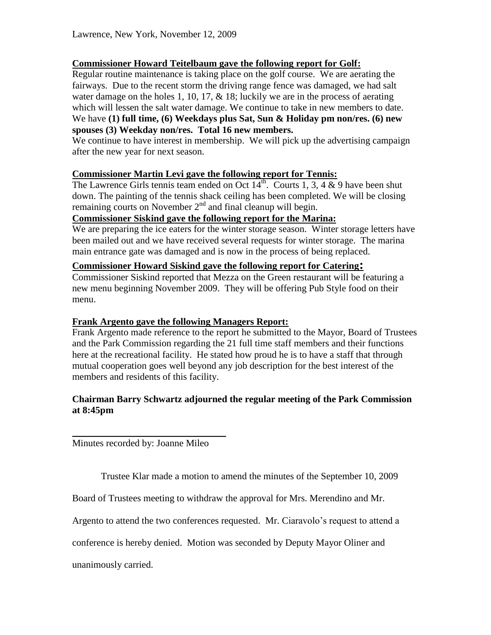## **Commissioner Howard Teitelbaum gave the following report for Golf:**

Regular routine maintenance is taking place on the golf course. We are aerating the fairways. Due to the recent storm the driving range fence was damaged, we had salt water damage on the holes 1, 10, 17, & 18; luckily we are in the process of aerating which will lessen the salt water damage. We continue to take in new members to date. We have **(1) full time, (6) Weekdays plus Sat, Sun & Holiday pm non/res. (6) new spouses (3) Weekday non/res. Total 16 new members.**

We continue to have interest in membership. We will pick up the advertising campaign after the new year for next season.

## **Commissioner Martin Levi gave the following report for Tennis:**

The Lawrence Girls tennis team ended on Oct  $14^{\text{th}}$ . Courts 1, 3, 4  $\&$  9 have been shut down. The painting of the tennis shack ceiling has been completed. We will be closing remaining courts on November  $2<sup>nd</sup>$  and final cleanup will begin.

## **Commissioner Siskind gave the following report for the Marina:**

We are preparing the ice eaters for the winter storage season. Winter storage letters have been mailed out and we have received several requests for winter storage. The marina main entrance gate was damaged and is now in the process of being replaced.

## **Commissioner Howard Siskind gave the following report for Catering:**

Commissioner Siskind reported that Mezza on the Green restaurant will be featuring a new menu beginning November 2009. They will be offering Pub Style food on their menu.

## **Frank Argento gave the following Managers Report:**

Frank Argento made reference to the report he submitted to the Mayor, Board of Trustees and the Park Commission regarding the 21 full time staff members and their functions here at the recreational facility. He stated how proud he is to have a staff that through mutual cooperation goes well beyond any job description for the best interest of the members and residents of this facility.

## **Chairman Barry Schwartz adjourned the regular meeting of the Park Commission at 8:45pm**

Minutes recorded by: Joanne Mileo

\_\_\_\_\_\_\_\_\_\_\_\_\_\_\_\_\_\_\_\_\_\_\_\_\_\_\_\_\_\_\_\_

Trustee Klar made a motion to amend the minutes of the September 10, 2009

Board of Trustees meeting to withdraw the approval for Mrs. Merendino and Mr.

Argento to attend the two conferences requested. Mr. Ciaravolo's request to attend a

conference is hereby denied. Motion was seconded by Deputy Mayor Oliner and

unanimously carried.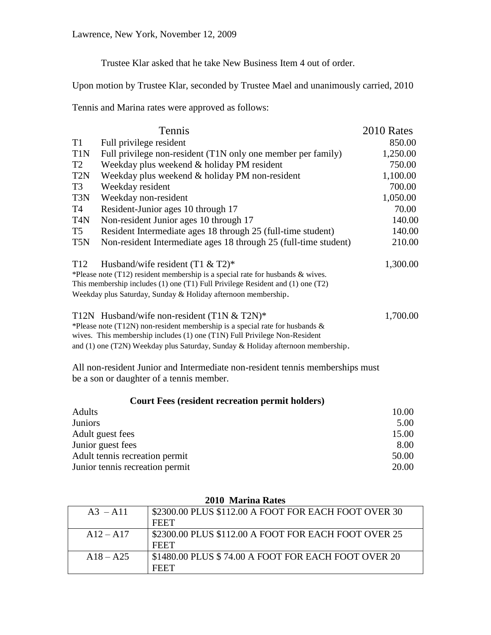Trustee Klar asked that he take New Business Item 4 out of order.

Upon motion by Trustee Klar, seconded by Trustee Mael and unanimously carried, 2010

Tennis and Marina rates were approved as follows:

|                  | Tennis                                                                                 | 2010 Rates |
|------------------|----------------------------------------------------------------------------------------|------------|
| T1               | Full privilege resident                                                                | 850.00     |
| T1N              | Full privilege non-resident (T1N only one member per family)                           | 1,250.00   |
| T2               | Weekday plus weekend & holiday PM resident                                             | 750.00     |
| T <sub>2</sub> N | Weekday plus weekend & holiday PM non-resident                                         | 1,100.00   |
| T <sub>3</sub>   | Weekday resident                                                                       | 700.00     |
| T3N              | Weekday non-resident                                                                   | 1,050.00   |
| T4               | Resident-Junior ages 10 through 17                                                     | 70.00      |
| T <sub>4</sub> N | Non-resident Junior ages 10 through 17                                                 | 140.00     |
| T5               | Resident Intermediate ages 18 through 25 (full-time student)                           | 140.00     |
| T5N              | Non-resident Intermediate ages 18 through 25 (full-time student)                       | 210.00     |
| T <sub>12</sub>  | Husband/wife resident (T1 $&$ T2) <sup>*</sup>                                         | 1,300.00   |
|                  | *Please note (T12) resident membership is a special rate for husbands & wives.         |            |
|                  | This membership includes $(1)$ one $(T1)$ Full Privilege Resident and $(1)$ one $(T2)$ |            |
|                  | Weekday plus Saturday, Sunday & Holiday afternoon membership.                          |            |
|                  | T12N Husband/wife non-resident $(T1N & T2N)^*$                                         | 1,700.00   |
|                  | *Please note (T12N) non-resident membership is a special rate for husbands $\&$        |            |
|                  | wives. This membership includes (1) one (T1N) Full Privilege Non-Resident              |            |
|                  | and (1) one (T2N) Weekday plus Saturday, Sunday & Holiday afternoon membership.        |            |
|                  |                                                                                        |            |

All non-resident Junior and Intermediate non-resident tennis memberships must be a son or daughter of a tennis member.

## **Court Fees (resident recreation permit holders)**

| Adults                          | 10.00 |
|---------------------------------|-------|
| <b>Juniors</b>                  | 5.00  |
| Adult guest fees                | 15.00 |
| Junior guest fees               | 8.00  |
| Adult tennis recreation permit  | 50.00 |
| Junior tennis recreation permit | 20.00 |

| ZUTU Marina Rates |                                                      |  |
|-------------------|------------------------------------------------------|--|
| $A3 - A11$        | \$2300.00 PLUS \$112.00 A FOOT FOR EACH FOOT OVER 30 |  |
|                   | <b>FEET</b>                                          |  |
| $A12 - A17$       | \$2300.00 PLUS \$112.00 A FOOT FOR EACH FOOT OVER 25 |  |
|                   | <b>FEET</b>                                          |  |
| $A18 - A25$       | \$1480.00 PLUS \$74.00 A FOOT FOR EACH FOOT OVER 20  |  |
|                   |                                                      |  |

# **2010 Marina Rates**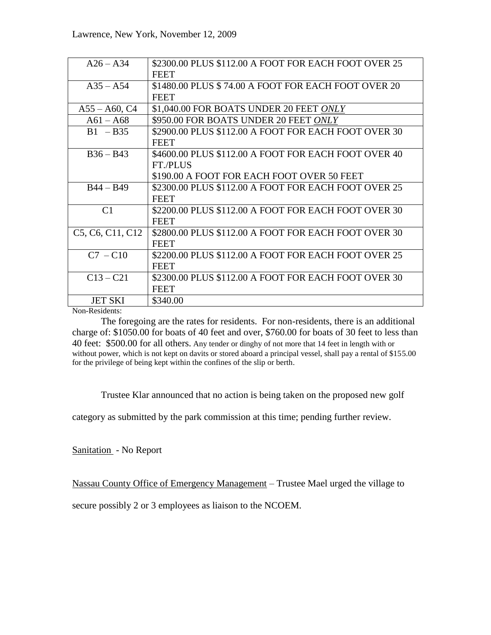| $A26 - A34$                                                         | \$2300.00 PLUS \$112.00 A FOOT FOR EACH FOOT OVER 25 |
|---------------------------------------------------------------------|------------------------------------------------------|
|                                                                     | <b>FEET</b>                                          |
| $A35 - A54$                                                         | \$1480.00 PLUS \$74.00 A FOOT FOR EACH FOOT OVER 20  |
|                                                                     | <b>FEET</b>                                          |
| $A55 - A60, C4$                                                     | \$1,040.00 FOR BOATS UNDER 20 FEET ONLY              |
| $A61 - A68$                                                         | \$950.00 FOR BOATS UNDER 20 FEET ONLY                |
| $B1 - B35$                                                          | \$2900.00 PLUS \$112.00 A FOOT FOR EACH FOOT OVER 30 |
|                                                                     | <b>FEET</b>                                          |
| $B36 - B43$                                                         | \$4600.00 PLUS \$112.00 A FOOT FOR EACH FOOT OVER 40 |
|                                                                     | FT./PLUS                                             |
|                                                                     | \$190.00 A FOOT FOR EACH FOOT OVER 50 FEET           |
| $B44 - B49$                                                         | \$2300.00 PLUS \$112.00 A FOOT FOR EACH FOOT OVER 25 |
|                                                                     | <b>FEET</b>                                          |
| C1                                                                  | \$2200.00 PLUS \$112.00 A FOOT FOR EACH FOOT OVER 30 |
|                                                                     | <b>FEET</b>                                          |
| C <sub>5</sub> , C <sub>6</sub> , C <sub>11</sub> , C <sub>12</sub> | \$2800.00 PLUS \$112.00 A FOOT FOR EACH FOOT OVER 30 |
|                                                                     | <b>FEET</b>                                          |
| $C7 - C10$                                                          | \$2200.00 PLUS \$112.00 A FOOT FOR EACH FOOT OVER 25 |
|                                                                     | <b>FEET</b>                                          |
| $C13 - C21$                                                         | \$2300.00 PLUS \$112.00 A FOOT FOR EACH FOOT OVER 30 |
|                                                                     | FEET                                                 |
| <b>JET SKI</b>                                                      | \$340.00                                             |

Non-Residents:

The foregoing are the rates for residents. For non-residents, there is an additional charge of: \$1050.00 for boats of 40 feet and over, \$760.00 for boats of 30 feet to less than 40 feet: \$500.00 for all others. Any tender or dinghy of not more that 14 feet in length with or without power, which is not kept on davits or stored aboard a principal vessel, shall pay a rental of \$155.00 for the privilege of being kept within the confines of the slip or berth.

Trustee Klar announced that no action is being taken on the proposed new golf

category as submitted by the park commission at this time; pending further review.

## Sanitation - No Report

Nassau County Office of Emergency Management – Trustee Mael urged the village to

secure possibly 2 or 3 employees as liaison to the NCOEM.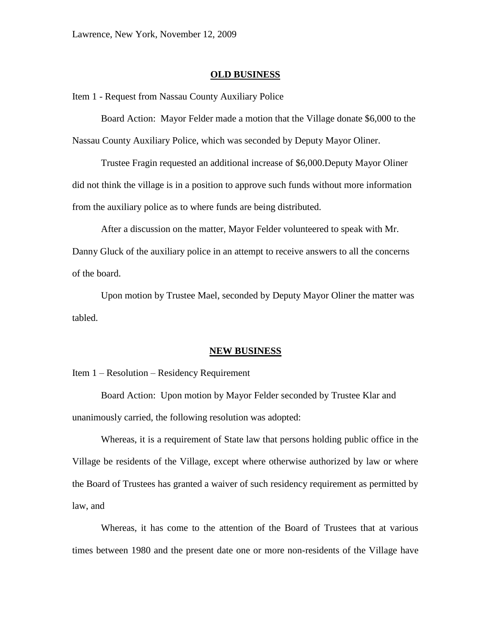#### **OLD BUSINESS**

Item 1 - Request from Nassau County Auxiliary Police

Board Action: Mayor Felder made a motion that the Village donate \$6,000 to the Nassau County Auxiliary Police, which was seconded by Deputy Mayor Oliner.

Trustee Fragin requested an additional increase of \$6,000.Deputy Mayor Oliner did not think the village is in a position to approve such funds without more information from the auxiliary police as to where funds are being distributed.

After a discussion on the matter, Mayor Felder volunteered to speak with Mr. Danny Gluck of the auxiliary police in an attempt to receive answers to all the concerns of the board.

Upon motion by Trustee Mael, seconded by Deputy Mayor Oliner the matter was tabled.

#### **NEW BUSINESS**

Item 1 – Resolution – Residency Requirement

Board Action: Upon motion by Mayor Felder seconded by Trustee Klar and unanimously carried, the following resolution was adopted:

Whereas, it is a requirement of State law that persons holding public office in the Village be residents of the Village, except where otherwise authorized by law or where the Board of Trustees has granted a waiver of such residency requirement as permitted by law, and

Whereas, it has come to the attention of the Board of Trustees that at various times between 1980 and the present date one or more non-residents of the Village have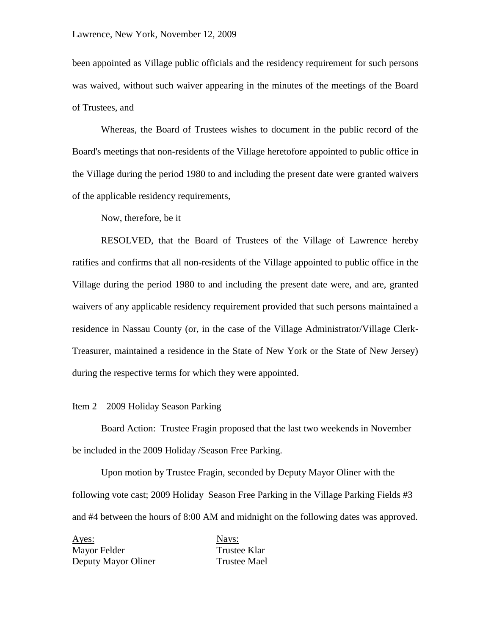been appointed as Village public officials and the residency requirement for such persons was waived, without such waiver appearing in the minutes of the meetings of the Board of Trustees, and

Whereas, the Board of Trustees wishes to document in the public record of the Board's meetings that non-residents of the Village heretofore appointed to public office in the Village during the period 1980 to and including the present date were granted waivers of the applicable residency requirements,

Now, therefore, be it

RESOLVED, that the Board of Trustees of the Village of Lawrence hereby ratifies and confirms that all non-residents of the Village appointed to public office in the Village during the period 1980 to and including the present date were, and are, granted waivers of any applicable residency requirement provided that such persons maintained a residence in Nassau County (or, in the case of the Village Administrator/Village Clerk-Treasurer, maintained a residence in the State of New York or the State of New Jersey) during the respective terms for which they were appointed.

#### Item 2 – 2009 Holiday Season Parking

Board Action: Trustee Fragin proposed that the last two weekends in November be included in the 2009 Holiday /Season Free Parking.

Upon motion by Trustee Fragin, seconded by Deputy Mayor Oliner with the following vote cast; 2009 Holiday Season Free Parking in the Village Parking Fields #3 and #4 between the hours of 8:00 AM and midnight on the following dates was approved.

Ayes: Nays: Mayor Felder Trustee Klar Deputy Mayor Oliner Trustee Mael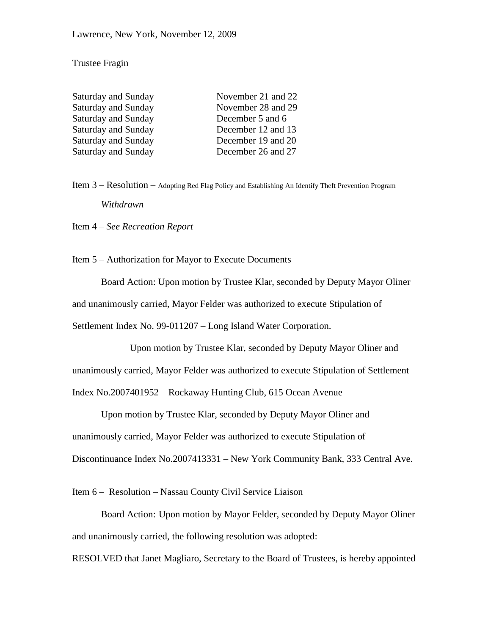### Trustee Fragin

| Saturday and Sunday | November 21 and 22 |
|---------------------|--------------------|
| Saturday and Sunday | November 28 and 29 |
| Saturday and Sunday | December 5 and 6   |
| Saturday and Sunday | December 12 and 13 |
| Saturday and Sunday | December 19 and 20 |
| Saturday and Sunday | December 26 and 27 |

Item 3 – Resolution – Adopting Red Flag Policy and Establishing An Identify Theft Prevention Program *Withdrawn*

Item 4 – *See Recreation Report*

Item 5 – Authorization for Mayor to Execute Documents

Board Action: Upon motion by Trustee Klar, seconded by Deputy Mayor Oliner and unanimously carried, Mayor Felder was authorized to execute Stipulation of Settlement Index No. 99-011207 – Long Island Water Corporation.

Upon motion by Trustee Klar, seconded by Deputy Mayor Oliner and unanimously carried, Mayor Felder was authorized to execute Stipulation of Settlement Index No.2007401952 – Rockaway Hunting Club, 615 Ocean Avenue

Upon motion by Trustee Klar, seconded by Deputy Mayor Oliner and unanimously carried, Mayor Felder was authorized to execute Stipulation of Discontinuance Index No.2007413331 – New York Community Bank, 333 Central Ave.

Item 6 – Resolution – Nassau County Civil Service Liaison

Board Action: Upon motion by Mayor Felder, seconded by Deputy Mayor Oliner and unanimously carried, the following resolution was adopted:

RESOLVED that Janet Magliaro, Secretary to the Board of Trustees, is hereby appointed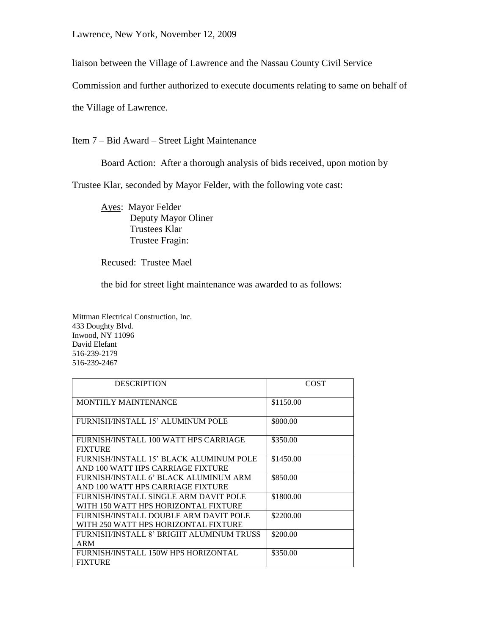Lawrence, New York, November 12, 2009

liaison between the Village of Lawrence and the Nassau County Civil Service

Commission and further authorized to execute documents relating to same on behalf of

the Village of Lawrence.

Item 7 – Bid Award – Street Light Maintenance

Board Action: After a thorough analysis of bids received, upon motion by

Trustee Klar, seconded by Mayor Felder, with the following vote cast:

Ayes: Mayor Felder Deputy Mayor Oliner Trustees Klar Trustee Fragin:

Recused: Trustee Mael

the bid for street light maintenance was awarded to as follows:

Mittman Electrical Construction, Inc. 433 Doughty Blvd. Inwood, NY 11096 David Elefant 516-239-2179 516-239-2467

| <b>DESCRIPTION</b>                                                            | COST      |
|-------------------------------------------------------------------------------|-----------|
| <b>MONTHLY MAINTENANCE</b>                                                    | \$1150.00 |
| FURNISH/INSTALL 15' ALUMINUM POLE                                             | \$800.00  |
| FURNISH/INSTALL 100 WATT HPS CARRIAGE<br><b>FIXTURE</b>                       | \$350.00  |
| FURNISH/INSTALL 15' BLACK ALUMINUM POLE<br>AND 100 WATT HPS CARRIAGE FIXTURE  | \$1450.00 |
| FURNISH/INSTALL 6' BLACK ALUMINUM ARM<br>AND 100 WATT HPS CARRIAGE FIXTURE    | \$850.00  |
| FURNISH/INSTALL SINGLE ARM DAVIT POLE<br>WITH 150 WATT HPS HORIZONTAL FIXTURE | \$1800.00 |
| FURNISH/INSTALL DOUBLE ARM DAVIT POLE<br>WITH 250 WATT HPS HORIZONTAL FIXTURE | \$2200.00 |
| FURNISH/INSTALL 8' BRIGHT ALUMINUM TRUSS<br>ARM                               | \$200.00  |
| FURNISH/INSTALL 150W HPS HORIZONTAL<br><b>FIXTURE</b>                         | \$350.00  |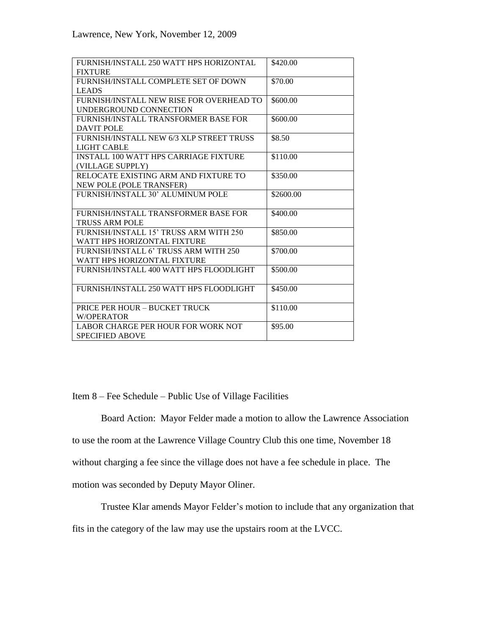| FURNISH/INSTALL 250 WATT HPS HORIZONTAL      | \$420.00  |
|----------------------------------------------|-----------|
| <b>FIXTURE</b>                               |           |
| FURNISH/INSTALL COMPLETE SET OF DOWN         | \$70.00   |
| <b>LEADS</b>                                 |           |
| FURNISH/INSTALL NEW RISE FOR OVERHEAD TO     | \$600.00  |
| UNDERGROUND CONNECTION                       |           |
| FURNISH/INSTALL TRANSFORMER BASE FOR         | \$600.00  |
| <b>DAVIT POLE</b>                            |           |
| FURNISH/INSTALL NEW 6/3 XLP STREET TRUSS     | \$8.50    |
| LIGHT CABLE                                  |           |
| <b>INSTALL 100 WATT HPS CARRIAGE FIXTURE</b> | \$110.00  |
| (VILLAGE SUPPLY)                             |           |
| RELOCATE EXISTING ARM AND FIXTURE TO         | \$350.00  |
| NEW POLE (POLE TRANSFER)                     |           |
| FURNISH/INSTALL 30' ALUMINUM POLE            | \$2600.00 |
|                                              |           |
| FURNISH/INSTALL TRANSFORMER BASE FOR         | \$400.00  |
| <b>TRUSS ARM POLE</b>                        |           |
| FURNISH/INSTALL 15' TRUSS ARM WITH 250       | \$850.00  |
| WATT HPS HORIZONTAL FIXTURE                  |           |
| FURNISH/INSTALL 6' TRUSS ARM WITH 250        | \$700.00  |
| WATT HPS HORIZONTAL FIXTURE                  |           |
| FURNISH/INSTALL 400 WATT HPS FLOODLIGHT      | \$500.00  |
|                                              |           |
| FURNISH/INSTALL 250 WATT HPS FLOODLIGHT      | \$450.00  |
|                                              |           |
| PRICE PER HOUR - BUCKET TRUCK                | \$110.00  |
| <b>W/OPERATOR</b>                            |           |
| LABOR CHARGE PER HOUR FOR WORK NOT           | \$95.00   |
| <b>SPECIFIED ABOVE</b>                       |           |

Item 8 – Fee Schedule – Public Use of Village Facilities

Board Action: Mayor Felder made a motion to allow the Lawrence Association to use the room at the Lawrence Village Country Club this one time, November 18 without charging a fee since the village does not have a fee schedule in place. The motion was seconded by Deputy Mayor Oliner.

Trustee Klar amends Mayor Felder's motion to include that any organization that fits in the category of the law may use the upstairs room at the LVCC.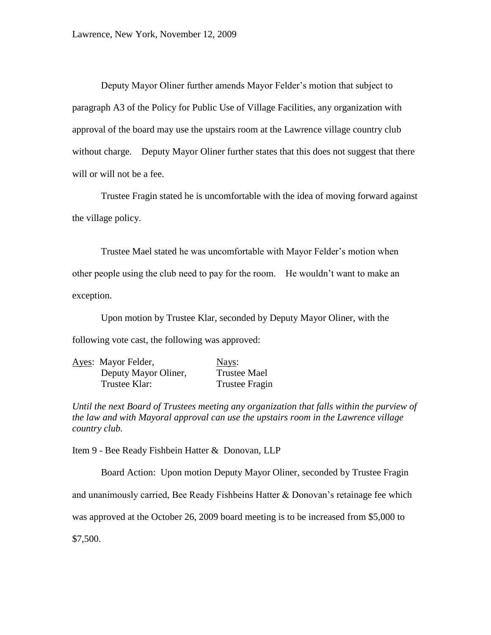Deputy Mayor Oliner further amends Mayor Felder's motion that subject to paragraph A3 of the Policy for Public Use of Village Facilities, any organization with approval of the board may use the upstairs room at the Lawrence village country club without charge. Deputy Mayor Oliner further states that this does not suggest that there will or will not be a fee.

Trustee Fragin stated he is uncomfortable with the idea of moving forward against the village policy.

Trustee Mael stated he was uncomfortable with Mayor Felder's motion when other people using the club need to pay for the room. He wouldn't want to make an exception.

Upon motion by Trustee Klar, seconded by Deputy Mayor Oliner, with the following vote cast, the following was approved:

| Ayes: Mayor Felder,  | Nays:                 |
|----------------------|-----------------------|
| Deputy Mayor Oliner, | <b>Trustee Mael</b>   |
| Trustee Klar:        | <b>Trustee Fragin</b> |

*Until the next Board of Trustees meeting any organization that falls within the purview of the law and with Mayoral approval can use the upstairs room in the Lawrence village country club.*

Item 9 - Bee Ready Fishbein Hatter & Donovan, LLP

Board Action: Upon motion Deputy Mayor Oliner, seconded by Trustee Fragin

and unanimously carried, Bee Ready Fishbeins Hatter & Donovan's retainage fee which

was approved at the October 26, 2009 board meeting is to be increased from \$5,000 to

\$7,500.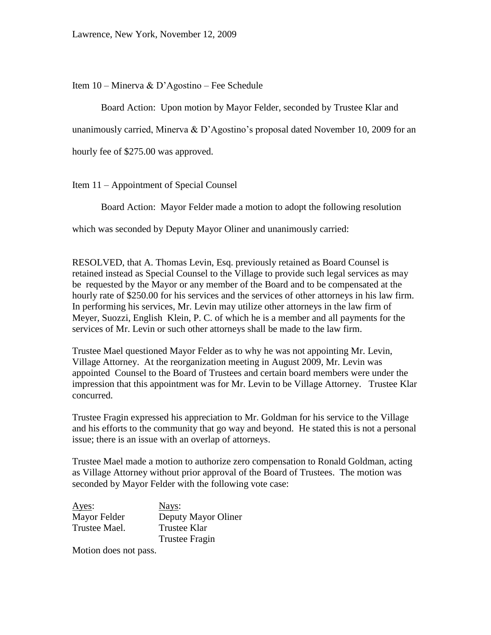Item 10 – Minerva & D'Agostino – Fee Schedule

Board Action: Upon motion by Mayor Felder, seconded by Trustee Klar and

unanimously carried, Minerva  $\&$  D'Agostino's proposal dated November 10, 2009 for an

hourly fee of \$275.00 was approved.

Item 11 – Appointment of Special Counsel

Board Action: Mayor Felder made a motion to adopt the following resolution

which was seconded by Deputy Mayor Oliner and unanimously carried:

RESOLVED, that A. Thomas Levin, Esq. previously retained as Board Counsel is retained instead as Special Counsel to the Village to provide such legal services as may be requested by the Mayor or any member of the Board and to be compensated at the hourly rate of \$250.00 for his services and the services of other attorneys in his law firm. In performing his services, Mr. Levin may utilize other attorneys in the law firm of Meyer, Suozzi, English Klein, P. C. of which he is a member and all payments for the services of Mr. Levin or such other attorneys shall be made to the law firm.

Trustee Mael questioned Mayor Felder as to why he was not appointing Mr. Levin, Village Attorney. At the reorganization meeting in August 2009, Mr. Levin was appointed Counsel to the Board of Trustees and certain board members were under the impression that this appointment was for Mr. Levin to be Village Attorney. Trustee Klar concurred.

Trustee Fragin expressed his appreciation to Mr. Goldman for his service to the Village and his efforts to the community that go way and beyond. He stated this is not a personal issue; there is an issue with an overlap of attorneys.

Trustee Mael made a motion to authorize zero compensation to Ronald Goldman, acting as Village Attorney without prior approval of the Board of Trustees. The motion was seconded by Mayor Felder with the following vote case:

| Ayes:         | Nays:                 |
|---------------|-----------------------|
| Mayor Felder  | Deputy Mayor Oliner   |
| Trustee Mael. | Trustee Klar          |
|               | <b>Trustee Fragin</b> |

Motion does not pass.